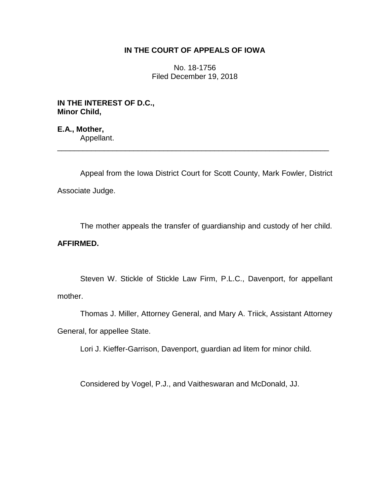## **IN THE COURT OF APPEALS OF IOWA**

No. 18-1756 Filed December 19, 2018

**IN THE INTEREST OF D.C., Minor Child,**

**E.A., Mother,** Appellant.

Appeal from the Iowa District Court for Scott County, Mark Fowler, District Associate Judge.

\_\_\_\_\_\_\_\_\_\_\_\_\_\_\_\_\_\_\_\_\_\_\_\_\_\_\_\_\_\_\_\_\_\_\_\_\_\_\_\_\_\_\_\_\_\_\_\_\_\_\_\_\_\_\_\_\_\_\_\_\_\_\_\_

The mother appeals the transfer of guardianship and custody of her child. **AFFIRMED.**

Steven W. Stickle of Stickle Law Firm, P.L.C., Davenport, for appellant mother.

Thomas J. Miller, Attorney General, and Mary A. Triick, Assistant Attorney General, for appellee State.

Lori J. Kieffer-Garrison, Davenport, guardian ad litem for minor child.

Considered by Vogel, P.J., and Vaitheswaran and McDonald, JJ.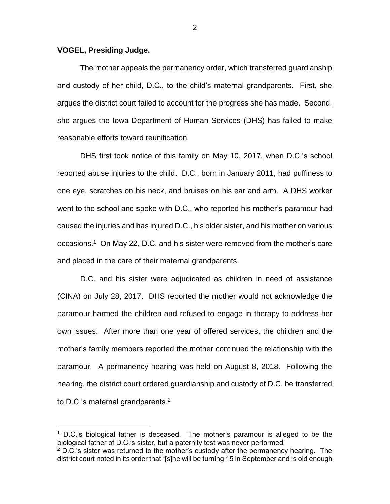## **VOGEL, Presiding Judge.**

 $\overline{a}$ 

The mother appeals the permanency order, which transferred guardianship and custody of her child, D.C., to the child's maternal grandparents. First, she argues the district court failed to account for the progress she has made. Second, she argues the Iowa Department of Human Services (DHS) has failed to make reasonable efforts toward reunification.

DHS first took notice of this family on May 10, 2017, when D.C.'s school reported abuse injuries to the child. D.C., born in January 2011, had puffiness to one eye, scratches on his neck, and bruises on his ear and arm. A DHS worker went to the school and spoke with D.C., who reported his mother's paramour had caused the injuries and has injured D.C., his older sister, and his mother on various occasions.<sup>1</sup> On May 22, D.C. and his sister were removed from the mother's care and placed in the care of their maternal grandparents.

D.C. and his sister were adjudicated as children in need of assistance (CINA) on July 28, 2017. DHS reported the mother would not acknowledge the paramour harmed the children and refused to engage in therapy to address her own issues. After more than one year of offered services, the children and the mother's family members reported the mother continued the relationship with the paramour. A permanency hearing was held on August 8, 2018. Following the hearing, the district court ordered guardianship and custody of D.C. be transferred to D.C.'s maternal grandparents.<sup>2</sup>

 $1$  D.C.'s biological father is deceased. The mother's paramour is alleged to be the biological father of D.C.'s sister, but a paternity test was never performed.

 $2$  D.C.'s sister was returned to the mother's custody after the permanency hearing. The district court noted in its order that "[s]he will be turning 15 in September and is old enough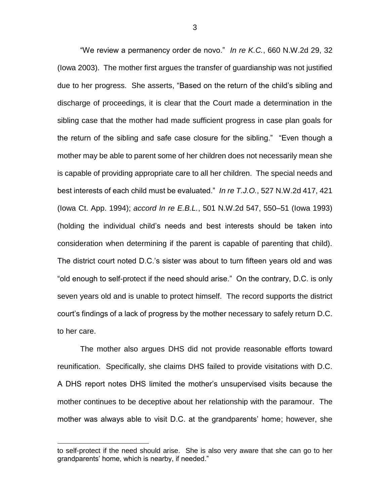"We review a permanency order de novo." *In re K.C.*, 660 N.W.2d 29, 32 (Iowa 2003).The mother first argues the transfer of guardianship was not justified due to her progress. She asserts, "Based on the return of the child's sibling and discharge of proceedings, it is clear that the Court made a determination in the sibling case that the mother had made sufficient progress in case plan goals for the return of the sibling and safe case closure for the sibling." "Even though a mother may be able to parent some of her children does not necessarily mean she is capable of providing appropriate care to all her children. The special needs and best interests of each child must be evaluated." *In re T.J.O.*, 527 N.W.2d 417, 421 (Iowa Ct. App. 1994); *accord In re E.B.L.*, 501 N.W.2d 547, 550–51 (Iowa 1993) (holding the individual child's needs and best interests should be taken into consideration when determining if the parent is capable of parenting that child). The district court noted D.C.'s sister was about to turn fifteen years old and was "old enough to self-protect if the need should arise." On the contrary, D.C. is only seven years old and is unable to protect himself. The record supports the district court's findings of a lack of progress by the mother necessary to safely return D.C. to her care.

The mother also argues DHS did not provide reasonable efforts toward reunification. Specifically, she claims DHS failed to provide visitations with D.C. A DHS report notes DHS limited the mother's unsupervised visits because the mother continues to be deceptive about her relationship with the paramour. The mother was always able to visit D.C. at the grandparents' home; however, she

 $\overline{a}$ 

to self-protect if the need should arise. She is also very aware that she can go to her grandparents' home, which is nearby, if needed."